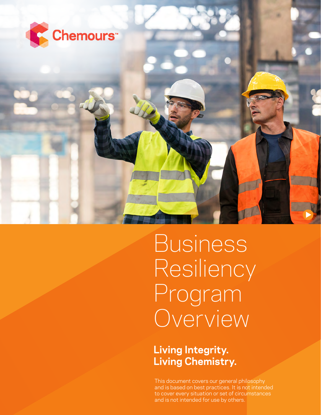

Business Resiliency Program Overview

**Living Integrity. Living Chemistry.**

This document covers our general philosophy and is based on best practices. It is not intended to cover every situation or set of circumstances and is not intended for use by others.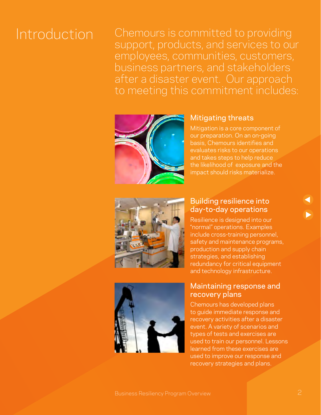Introduction Chemours is committed to providing support, products, and services to our employees, communities, customers, business partners, and stakeholders after a disaster event. Our approach to meeting this commitment includes:



### Mitigating threats

Mitigation is a core component of our preparation. On an on-going basis, Chemours identifies and evaluates risks to our operations and takes steps to help reduce the likelihood of exposure and the impact should risks materialize.



#### Building resilience into day-to-day operations

Resilience is designed into our "normal" operations. Examples include cross-training personnel, safety and maintenance programs, production and supply chain strategies, and establishing redundancy for critical equipment and technology infrastructure.



#### Maintaining response and recovery plans

Chemours has developed plans to guide immediate response and recovery activities after a disaster event. A variety of scenarios and types of tests and exercises are used to train our personnel. Lessons learned from these exercises are used to improve our response and recovery strategies and plans.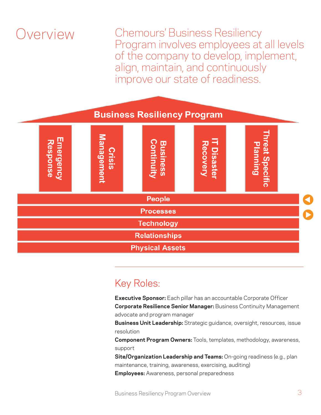### Overview

Chemours' Business Resiliency Program involves employees at all levels of the company to develop, implement, align, maintain, and continuously improve our state of readiness.



### Key Roles:

**Executive Sponsor:** Each pillar has an accountable Corporate Officer **Corporate Resilience Senior Manager:** Business Continuity Management advocate and program manager

**Business Unit Leadership:** Strategic guidance, oversight, resources, issue resolution

**Component Program Owners:** Tools, templates, methodology, awareness, support

**Site/Organization Leadership and Teams:** On-going readiness (e.g., plan maintenance, training, awareness, exercising, auditing)

**Employees:** Awareness, personal preparedness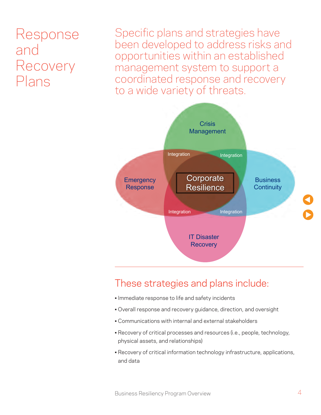### Response and Recovery Plans

Specific plans and strategies have been developed to address risks and opportunities within an established management system to support a coordinated response and recovery to a wide variety of threats.



### These strategies and plans include:

- Immediate response to life and safety incidents
- Overall response and recovery guidance, direction, and oversight
- Communications with internal and external stakeholders
- Recovery of critical processes and resources (i.e., people, technology, physical assets, and relationships)
- Recovery of critical information technology infrastructure, applications, and data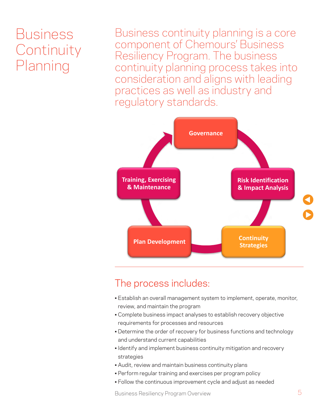## Business **Continuity** Planning

Business continuity planning is a core component of Chemours' Business Resiliency Program. The business continuity planning process takes into consideration and aligns with leading practices as well as industry and regulatory standards.



### The process includes:

- Establish an overall management system to implement, operate, monitor, review, and maintain the program
- Complete business impact analyses to establish recovery objective requirements for processes and resources
- Determine the order of recovery for business functions and technology and understand current capabilities
- Identify and implement business continuity mitigation and recovery strategies
- Audit, review and maintain business continuity plans
- Perform regular training and exercises per program policy
- Follow the continuous improvement cycle and adjust as needed

Business Resiliency Program Overview 5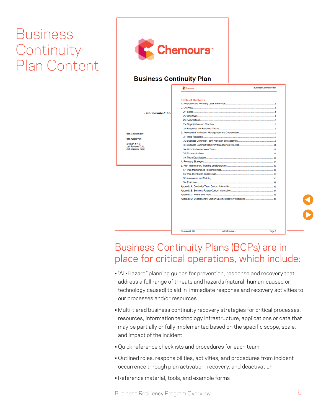## Business **Continuity** Plan Content



### Business Continuity Plans (BCPs) are in place for critical operations, which include:

- "All-Hazard" planning guides for prevention, response and recovery that address a full range of threats and hazards (natural, human-caused or technology caused) to aid in immediate response and recovery activities to our processes and/or resources
- Multi-tiered business continuity recovery strategies for critical processes, resources, information technology infrastructure, applications or data that may be partially or fully implemented based on the specific scope, scale, and impact of the incident
- Quick reference checklists and procedures for each team
- Outlined roles, responsibilities, activities, and procedures from incident occurrence through plan activation, recovery, and deactivation
- Reference material, tools, and example forms

Business Resiliency Program Overview 6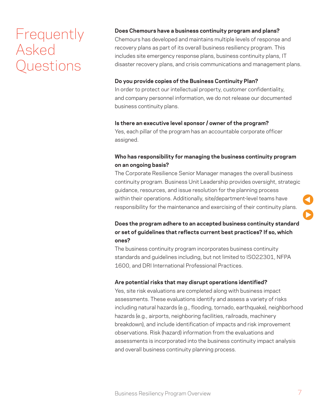## **Frequently** Asked Questions

#### **Does Chemours have a business continuity program and plans?**

Chemours has developed and maintains multiple levels of response and recovery plans as part of its overall business resiliency program. This includes site emergency response plans, business continuity plans, IT disaster recovery plans, and crisis communications and management plans.

#### **Do you provide copies of the Business Continuity Plan?**

In order to protect our intellectual property, customer confidentiality, and company personnel information, we do not release our documented business continuity plans.

#### **Is there an executive level sponsor / owner of the program?**

Yes, each pillar of the program has an accountable corporate officer assigned.

#### **Who has responsibility for managing the business continuity program on an ongoing basis?**

The Corporate Resilience Senior Manager manages the overall business continuity program. Business Unit Leadership provides oversight, strategic guidance, resources, and issue resolution for the planning process within their operations. Additionally, site/department-level teams have responsibility for the maintenance and exercising of their continuity plans.

#### **Does the program adhere to an accepted business continuity standard or set of guidelines that reflects current best practices? If so, which ones?**

The business continuity program incorporates business continuity standards and guidelines including, but not limited to ISO22301, NFPA 1600, and DRI International Professional Practices.

#### **Are potential risks that may disrupt operations identified?**

Yes, site risk evaluations are completed along with business impact assessments. These evaluations identify and assess a variety of risks including natural hazards (e.g., flooding, tornado, earthquake), neighborhood hazards (e.g., airports, neighboring facilities, railroads, machinery breakdown), and include identification of impacts and risk improvement observations. Risk (hazard) information from the evaluations and assessments is incorporated into the business continuity impact analysis and overall business continuity planning process.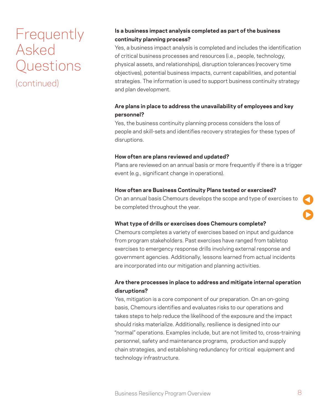## Frequently Asked Questions

(continued)

#### **Is a business impact analysis completed as part of the business continuity planning process?**

Yes, a business impact analysis is completed and includes the identification of critical business processes and resources (i.e., people, technology, physical assets, and relationships), disruption tolerances (recovery time objectives), potential business impacts, current capabilities, and potential strategies. The information is used to support business continuity strategy and plan development.

#### **Are plans in place to address the unavailability of employees and key personnel?**

Yes, the business continuity planning process considers the loss of people and skill-sets and identifies recovery strategies for these types of disruptions.

#### **How often are plans reviewed and updated?**

Plans are reviewed on an annual basis or more frequently if there is a trigger event (e.g., significant change in operations).

#### **How often are Business Continuity Plans tested or exercised?**

On an annual basis Chemours develops the scope and type of exercises to be completed throughout the year.

#### **What type of drills or exercises does Chemours complete?**

Chemours completes a variety of exercises based on input and guidance from program stakeholders. Past exercises have ranged from tabletop exercises to emergency response drills involving external response and government agencies. Additionally, lessons learned from actual incidents are incorporated into our mitigation and planning activities.

#### **Are there processes in place to address and mitigate internal operation disruptions?**

Yes, mitigation is a core component of our preparation. On an on-going basis, Chemours identifies and evaluates risks to our operations and takes steps to help reduce the likelihood of the exposure and the impact should risks materialize. Additionally, resilience is designed into our "normal" operations. Examples include, but are not limited to, cross-training personnel, safety and maintenance programs, production and supply chain strategies, and establishing redundancy for critical equipment and technology infrastructure.